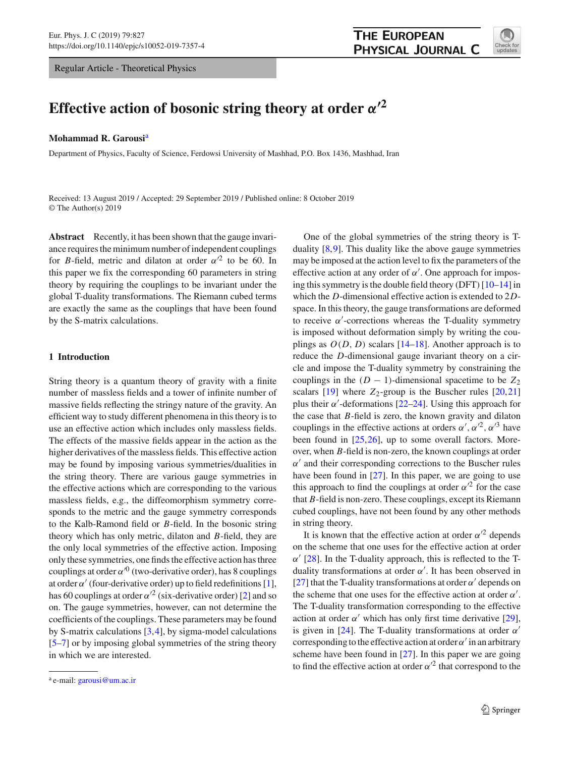Regular Article - Theoretical Physics



# **Effective action of bosonic string theory at order**  $\alpha'^2$

#### **Mohammad R. Garousi**<sup>a</sup>

Department of Physics, Faculty of Science, Ferdowsi University of Mashhad, P.O. Box 1436, Mashhad, Iran

Received: 13 August 2019 / Accepted: 29 September 2019 / Published online: 8 October 2019 © The Author(s) 2019

**Abstract** Recently, it has been shown that the gauge invariance requires the minimum number of independent couplings for *B*-field, metric and dilaton at order  $\alpha'^2$  to be 60. In this paper we fix the corresponding 60 parameters in string theory by requiring the couplings to be invariant under the global T-duality transformations. The Riemann cubed terms are exactly the same as the couplings that have been found by the S-matrix calculations.

## **1 Introduction**

String theory is a quantum theory of gravity with a finite number of massless fields and a tower of infinite number of massive fields reflecting the stringy nature of the gravity. An efficient way to study different phenomena in this theory is to use an effective action which includes only massless fields. The effects of the massive fields appear in the action as the higher derivatives of the massless fields. This effective action may be found by imposing various symmetries/dualities in the string theory. There are various gauge symmetries in the effective actions which are corresponding to the various massless fields, e.g., the diffeomorphism symmetry corresponds to the metric and the gauge symmetry corresponds to the Kalb-Ramond field or *B*-field. In the bosonic string theory which has only metric, dilaton and *B*-field, they are the only local symmetries of the effective action. Imposing only these symmetries, one finds the effective action has three couplings at order  $\alpha^{0}$  (two-derivative order), has 8 couplings at order  $\alpha'$  (four-derivative order) up to field redefinitions [\[1](#page-8-0)], has 60 couplings at order  $\alpha'^2$  (six-derivative order) [\[2\]](#page-8-1) and so on. The gauge symmetries, however, can not determine the coefficients of the couplings. These parameters may be found by S-matrix calculations [\[3,](#page-8-2)[4\]](#page-8-3), by sigma-model calculations [\[5](#page-8-4)[–7](#page-9-0)] or by imposing global symmetries of the string theory in which we are interested.

One of the global symmetries of the string theory is Tduality [\[8](#page-9-1)[,9](#page-9-2)]. This duality like the above gauge symmetries may be imposed at the action level to fix the parameters of the effective action at any order of  $\alpha'$ . One approach for imposing this symmetry is the double field theory (DFT) [\[10](#page-9-3)[–14](#page-9-4)] in which the *D*-dimensional effective action is extended to 2*D*space. In this theory, the gauge transformations are deformed to receive  $\alpha'$ -corrections whereas the T-duality symmetry is imposed without deformation simply by writing the couplings as  $O(D, D)$  scalars  $[14–18]$  $[14–18]$  $[14–18]$ . Another approach is to reduce the *D*-dimensional gauge invariant theory on a circle and impose the T-duality symmetry by constraining the couplings in the  $(D - 1)$ -dimensional spacetime to be  $Z_2$ scalars  $[19]$  $[19]$  where  $Z_2$ -group is the Buscher rules  $[20,21]$  $[20,21]$ plus their  $\alpha'$ -deformations [\[22](#page-9-9)[–24\]](#page-9-10). Using this approach for the case that *B*-field is zero, the known gravity and dilaton couplings in the effective actions at orders  $\alpha', \alpha'^2, \alpha'^3$  have been found in [\[25](#page-9-11)[,26](#page-9-12)], up to some overall factors. Moreover, when *B*-field is non-zero, the known couplings at order  $\alpha'$  and their corresponding corrections to the Buscher rules have been found in [\[27\]](#page-9-13). In this paper, we are going to use this approach to find the couplings at order  $\alpha'^2$  for the case that *B*-field is non-zero. These couplings, except its Riemann cubed couplings, have not been found by any other methods in string theory.

It is known that the effective action at order  $\alpha'^2$  depends on the scheme that one uses for the effective action at order  $\alpha'$  [\[28\]](#page-9-14). In the T-duality approach, this is reflected to the Tduality transformations at order  $\alpha'$ . It has been observed in [\[27](#page-9-13)] that the T-duality transformations at order  $\alpha'$  depends on the scheme that one uses for the effective action at order  $\alpha'$ . The T-duality transformation corresponding to the effective action at order  $\alpha'$  which has only first time derivative [\[29](#page-9-15)], is given in [\[24](#page-9-10)]. The T-duality transformations at order  $\alpha'$ corresponding to the effective action at order  $\alpha'$  in an arbitrary scheme have been found in [\[27](#page-9-13)]. In this paper we are going to find the effective action at order  $\alpha'^2$  that correspond to the

<sup>a</sup> e-mail: [garousi@um.ac.ir](mailto:garousi@um.ac.ir)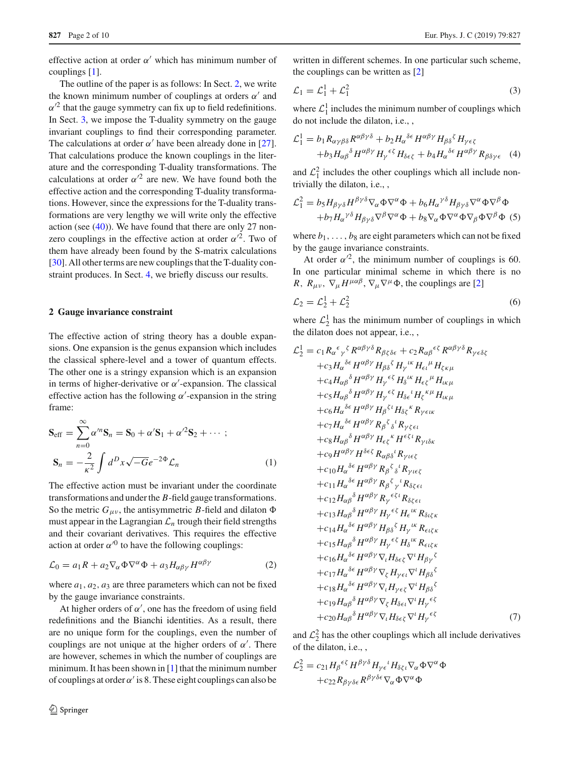effective action at order  $\alpha'$  which has minimum number of couplings [\[1\]](#page-8-0).

The outline of the paper is as follows: In Sect. [2,](#page-1-0) we write the known minimum number of couplings at orders  $\alpha'$  and  $\alpha'^2$  that the gauge symmetry can fix up to field redefinitions. In Sect. [3,](#page-2-0) we impose the T-duality symmetry on the gauge invariant couplings to find their corresponding parameter. The calculations at order  $\alpha'$  have been already done in [\[27](#page-9-13)]. That calculations produce the known couplings in the literature and the corresponding T-duality transformations. The calculations at order  $\alpha'^2$  are new. We have found both the effective action and the corresponding T-duality transformations. However, since the expressions for the T-duality transformations are very lengthy we will write only the effective action (see  $(40)$ ). We have found that there are only 27 nonzero couplings in the effective action at order  $\alpha'^2$ . Two of them have already been found by the S-matrix calculations [\[30](#page-9-16)]. All other terms are new couplings that the T-duality constraint produces. In Sect. [4,](#page-7-0) we briefly discuss our results.

#### <span id="page-1-0"></span>**2 Gauge invariance constraint**

The effective action of string theory has a double expansions. One expansion is the genus expansion which includes the classical sphere-level and a tower of quantum effects. The other one is a stringy expansion which is an expansion in terms of higher-derivative or  $\alpha'$ -expansion. The classical effective action has the following  $\alpha'$ -expansion in the string frame:

$$
\mathbf{S}_{\text{eff}} = \sum_{n=0}^{\infty} \alpha^{n} \mathbf{S}_{n} = \mathbf{S}_{0} + \alpha^{'} \mathbf{S}_{1} + \alpha^{'}{}^{2} \mathbf{S}_{2} + \cdots ;
$$

$$
\mathbf{S}_{n} = -\frac{2}{\kappa^{2}} \int d^{D}x \sqrt{-G} e^{-2\Phi} \mathcal{L}_{n}
$$
(1)

The effective action must be invariant under the coordinate transformations and under the *B*-field gauge transformations. So the metric  $G_{\mu\nu}$ , the antisymmetric *B*-field and dilaton  $\Phi$ must appear in the Lagrangian  $\mathcal{L}_n$  trough their field strengths and their covariant derivatives. This requires the effective action at order  $\alpha^{0}$  to have the following couplings:

<span id="page-1-1"></span>
$$
\mathcal{L}_0 = a_1 R + a_2 \nabla_\alpha \Phi \nabla^\alpha \Phi + a_3 H_{\alpha\beta\gamma} H^{\alpha\beta\gamma} \tag{2}
$$

where  $a_1$ ,  $a_2$ ,  $a_3$  are three parameters which can not be fixed by the gauge invariance constraints.

At higher orders of  $\alpha'$ , one has the freedom of using field redefinitions and the Bianchi identities. As a result, there are no unique form for the couplings, even the number of couplings are not unique at the higher orders of  $\alpha'$ . There are however, schemes in which the number of couplings are minimum. It has been shown in  $[1]$  that the minimum number of couplings at order  $\alpha'$  is 8. These eight couplings can also be

written in different schemes. In one particular such scheme, the couplings can be written as [\[2](#page-8-1)]

<span id="page-1-2"></span>
$$
\mathcal{L}_1 = \mathcal{L}_1^1 + \mathcal{L}_1^2 \tag{3}
$$

where  $\mathcal{L}_1^1$  includes the minimum number of couplings which do not include the dilaton, i.e., ,

$$
\mathcal{L}_1^1 = b_1 R_{\alpha\gamma\beta\delta} R^{\alpha\beta\gamma\delta} + b_2 H_{\alpha}^{\delta\epsilon} H^{\alpha\beta\gamma} H_{\beta\delta}^{\delta} H_{\gamma\epsilon\zeta} + b_3 H_{\alpha\beta}^{\delta} H^{\alpha\beta\gamma} H_{\gamma}^{\epsilon\zeta} H_{\delta\epsilon\zeta} + b_4 H_{\alpha}^{\delta\epsilon} H^{\alpha\beta\gamma} R_{\beta\delta\gamma\epsilon}
$$
 (4)

and  $\mathcal{L}_1^2$  includes the other couplings which all include nontrivially the dilaton, i.e., ,

$$
\mathcal{L}_1^2 = b_5 H_{\beta\gamma\delta} H^{\beta\gamma\delta} \nabla_{\alpha} \Phi \nabla^{\alpha} \Phi + b_6 H_{\alpha}^{\gamma\delta} H_{\beta\gamma\delta} \nabla^{\alpha} \Phi \nabla^{\beta} \Phi \n+ b_7 H_{\alpha}^{\gamma\delta} H_{\beta\gamma\delta} \nabla^{\beta} \nabla^{\alpha} \Phi + b_8 \nabla_{\alpha} \Phi \nabla^{\alpha} \Phi \nabla_{\beta} \Phi \nabla^{\beta} \Phi
$$
 (5)

where  $b_1, \ldots, b_8$  are eight parameters which can not be fixed by the gauge invariance constraints.

At order  $\alpha'^2$ , the minimum number of couplings is 60. In one particular minimal scheme in which there is no *R*,  $R_{\mu\nu}$ ,  $\nabla_{\mu}H^{\mu\alpha\beta}$ ,  $\nabla_{\mu}\nabla^{\mu}\Phi$ , the couplings are [\[2\]](#page-8-1)

<span id="page-1-3"></span>
$$
\mathcal{L}_2 = \mathcal{L}_2^1 + \mathcal{L}_2^2 \tag{6}
$$

where  $\mathcal{L}_2^1$  has the minimum number of couplings in which the dilaton does not appear, i.e., ,

<span id="page-1-4"></span>
$$
\mathcal{L}_{2}^{1} = c_{1} R_{\alpha}{}^{\epsilon}{}_{\gamma}{}^{\gamma} R^{\alpha\beta\gamma\delta} R_{\beta\zeta\delta\epsilon} + c_{2} R_{\alpha\beta}{}^{\epsilon} R^{\alpha\beta\gamma\delta} R_{\gamma\epsilon\delta\zeta}
$$
  
\n
$$
+ c_{3} H_{\alpha}{}^{\delta} \epsilon H^{\alpha\beta\gamma} H_{\beta\delta}{}^{\zeta} H_{\gamma}{}^{\mu\nu} H_{\epsilon\iota}{}^{\mu} H_{\zeta\kappa\mu}
$$
  
\n
$$
+ c_{4} H_{\alpha\beta}{}^{\delta} H^{\alpha\beta\gamma} H_{\gamma}{}^{\epsilon}{}^{\zeta} H_{\delta}{}^{\kappa} H_{\epsilon\zeta}{}^{\mu} H_{\kappa\mu}
$$
  
\n
$$
+ c_{5} H_{\alpha\beta}{}^{\delta} H^{\alpha\beta\gamma} H_{\gamma}{}^{\epsilon}{}^{\zeta} H_{\delta\epsilon}{}^{\iota} H_{\zeta}{}^{\kappa} \mu H_{\kappa\mu}
$$
  
\n
$$
+ c_{6} H_{\alpha}{}^{\delta} \epsilon H^{\alpha\beta\gamma} H_{\beta}{}^{\zeta}{}^{\iota} H_{\delta\zeta}{}^{\kappa} R_{\gamma\epsilon\iota\kappa}
$$
  
\n
$$
+ c_{7} H_{\alpha}{}^{\delta} H^{\alpha\beta\gamma} R_{\beta}{}^{\zeta}{}_{\delta}{}^{\kappa} R_{\gamma\epsilon\iota\kappa}
$$
  
\n
$$
+ c_{8} H_{\alpha\beta}{}^{\delta} H^{\alpha\beta\gamma} H_{\epsilon\zeta}{}^{\kappa} H^{\epsilon\zeta\iota} R_{\gamma\iota\delta\kappa}
$$
  
\n
$$
+ c_{10} H_{\alpha}{}^{\delta\epsilon} H^{\alpha\beta\gamma} R_{\beta}{}^{\epsilon}{}_{\delta}{}^{\iota} R_{\gamma\iota\epsilon\zeta}
$$
  
\n
$$
+ c_{11} H_{\alpha}{}^{\delta\epsilon} H^{\alpha\beta\gamma} R_{\beta}{}^{\epsilon}{}_{\delta}{}^{\iota} R_{\gamma\iota\epsilon\zeta}
$$
  
\n
$$
+ c_{12} H_{\alpha\beta}{}^{\delta} H^{\
$$

and  $\mathcal{L}_2^2$  has the other couplings which all include derivatives of the dilaton, i.e., ,

<span id="page-1-5"></span>
$$
\mathcal{L}_2^2 = c_{21} H_\beta^{\epsilon\zeta} H^{\beta\gamma\delta} H_{\gamma\epsilon}^{\iota} H_{\delta\zeta\iota} \nabla_\alpha \Phi \nabla^\alpha \Phi + c_{22} R_{\beta\gamma\delta\epsilon} R^{\beta\gamma\delta\epsilon} \nabla_\alpha \Phi \nabla^\alpha \Phi
$$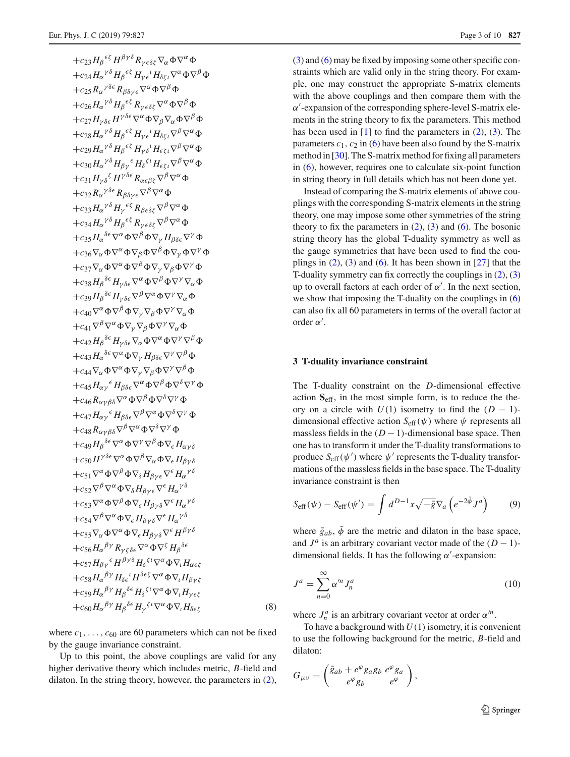$+c_{23}H_{\beta}^{\epsilon\zeta}H^{\beta\gamma\delta}R_{\gamma\epsilon\delta\zeta}\nabla_{\alpha}\Phi\nabla^{\alpha}\Phi$  $+c_{24}H_{\alpha}^{\ \gamma\delta}H_{\beta}^{\ \epsilon\zeta}H_{\gamma\epsilon}^{\ \iota}H_{\delta\zeta\iota}\nabla^{\alpha}\Phi\nabla^{\beta}\Phi$  $+c_{25}R_{\alpha}^{\ \gamma\delta\epsilon}R_{\beta\delta\gamma\epsilon}\nabla^{\alpha}\Phi\nabla^{\beta}\Phi$  $+c_{26}H_{\alpha}^{\ \gamma\delta}H_{\beta}^{\ \epsilon\zeta}R_{\gamma\epsilon\delta\zeta}\nabla^{\alpha}\Phi\nabla^{\beta}\Phi$  $+c_{27}H_{\nu\delta\epsilon}H^{\gamma\delta\epsilon}\nabla^{\alpha}\Phi\nabla_{\beta}\nabla_{\alpha}\Phi\nabla^{\beta}\Phi$  $+c_{28}H_{\alpha}^{\ \gamma\delta}H_{\beta}^{\ \epsilon\zeta}H_{\gamma\epsilon}^{\ \iota}H_{\delta\zeta\iota}\nabla^{\beta}\nabla^{\alpha}\Phi$  $+c_{29}H_{\alpha}^{\ \gamma\delta}H_{\beta}^{\ \epsilon\zeta}H_{\gamma\delta}^{\ \ i}H_{\epsilon\zeta\iota}\nabla^{\beta}\nabla^{\alpha}\Phi$  $+c_{30}H_{\alpha}^{\ \gamma\delta}H_{\beta\gamma}^{\ \epsilon}H_{\delta}^{\ \zeta\iota}H_{\epsilon\zeta\iota}\nabla^{\beta}\nabla^{\alpha}\Phi$  $+c_{31}H_{\gamma\delta}^{\beta}H^{\gamma\delta\epsilon}R_{\alpha\epsilon\beta\delta}^{\gamma}V^{\beta}\nabla^{\alpha}\Phi$  $+c_{32}R_{\alpha}^{\ \gamma\delta\epsilon}R_{\beta\delta\gamma\epsilon}\nabla^{\beta}\nabla^{\alpha}\Phi$  $+c_{33}H_{\alpha}^{\ \gamma\delta}H_{\gamma}^{\ \epsilon\zeta}R_{\beta\epsilon\delta\zeta}\nabla^{\beta}\nabla^{\alpha}\Phi$  $+c_{34}H_{\alpha}^{\ \gamma\delta}H_{\beta}^{\ \epsilon\zeta}R_{\gamma\epsilon\delta\zeta}\nabla^{\beta}\nabla^{\alpha}\Phi$  $+c_{35}H_{\alpha}^{\delta \epsilon} \nabla^{\alpha} \Phi \nabla^{\beta} \Phi \nabla_{\gamma} H_{\beta \delta \epsilon} \nabla^{\gamma} \Phi$ +c<sub>36</sub> $\nabla_{\alpha}\Phi\nabla^{\alpha}\Phi\nabla_{\beta}\Phi\nabla^{\beta}\Phi\nabla_{\nu}\Phi\nabla^{\gamma}\Phi$ +c<sub>37</sub> $\nabla_{\alpha} \Phi \nabla^{\alpha} \Phi \nabla^{\beta} \Phi \nabla_{\gamma} \nabla_{\beta} \Phi \nabla^{\gamma} \Phi$  $+c_{38}H_\beta{}^{\delta\epsilon}H_{\gamma\delta\epsilon}\nabla^\alpha\Phi\nabla^\beta\Phi\nabla^\gamma\nabla_\alpha\Phi$  $+c_{39}H_{\beta}^{\delta \epsilon}H_{\gamma\delta \epsilon}\nabla^{\beta}\nabla^{\alpha}\Phi\nabla^{\gamma}\nabla_{\alpha}\Phi$ + $c_{40}\nabla^{\alpha}\Phi\nabla^{\beta}\Phi\nabla_{\nu}\nabla_{\beta}\Phi\nabla^{\gamma}\nabla_{\alpha}\Phi$ + $c_{41}\nabla^{\beta}\nabla^{\alpha}\Phi\nabla_{\nu}\nabla_{\beta}\Phi\nabla^{\gamma}\nabla_{\alpha}\Phi$  $+c_{42}H_{\beta}^{\delta \epsilon}H_{\gamma\delta \epsilon}\nabla_{\alpha}\Phi\nabla^{\alpha}\Phi\nabla^{\gamma}\nabla^{\beta}\Phi$  $+c_{43}H_{\alpha}^{\ \delta\epsilon}\nabla^{\alpha}\Phi\nabla_{\gamma}H_{\beta\delta\epsilon}\nabla^{\gamma}\nabla^{\beta}\Phi$ + $c_{44}\nabla_{\alpha}\Phi\nabla^{\alpha}\Phi\nabla_{\nu}\nabla_{\beta}\Phi\nabla^{\gamma}\nabla^{\beta}\Phi$  $+c_{45}H_{\alpha\gamma}$ <sup> $\epsilon$ </sup>  $H_{\beta\delta\epsilon}\nabla^{\alpha}\Phi\nabla^{\beta}\Phi\nabla^{\delta}\nabla^{\gamma}\Phi$  $+c_{46}R_{\alpha\gamma\beta\delta}\nabla^{\alpha}\Phi\nabla^{\beta}\Phi\nabla^{\delta}\nabla^{\gamma}\Phi$  $+c_{47}H_{\alpha\gamma}$ <sup> $\epsilon$ </sup>  $H_{\beta\delta\epsilon}\nabla^{\beta}\nabla^{\alpha}\Phi\nabla^{\delta}\nabla^{\gamma}\Phi$  $+c_{48}R_{\alpha\gamma\beta\delta}\nabla^{\beta}\nabla^{\alpha}\Phi\nabla^{\delta}\nabla^{\gamma}\Phi$  $+c_{49}H_{\beta}^{\delta \epsilon} \nabla^{\alpha} \Phi \nabla^{\gamma} \nabla^{\beta} \Phi \nabla_{\epsilon} H_{\alpha \gamma \delta}$  $+c_{50}H^{\gamma\delta\epsilon}\nabla^{\alpha}\Phi\nabla^{\beta}\nabla_{\alpha}\Phi\nabla_{\epsilon}H_{\beta\gamma\delta}$  $+c_{51}\nabla^{\alpha}\Phi\nabla^{\beta}\Phi\nabla_{\delta}H_{\beta\gamma\epsilon}\nabla^{\epsilon}H_{\alpha}^{\gamma\delta}$  $+ c_{52}\nabla^{\beta}\nabla^{\alpha}\Phi\nabla_{\delta}H_{\beta\gamma\epsilon}\nabla^{\epsilon}H_{\alpha}^{\gamma\delta}$  $+c_{53}\nabla^{\alpha}\Phi\nabla^{\beta}\Phi\nabla_{\epsilon}H_{\beta\gamma\delta}\nabla^{\epsilon}H_{\alpha}^{\gamma\delta}$  $+c_{54}\nabla^{\beta}\nabla^{\alpha}\Phi\nabla_{\epsilon}H_{\beta\gamma\delta}\nabla^{\epsilon}H_{\alpha}^{\gamma\delta}$  $+c_{55}\nabla_{\alpha}\Phi\nabla^{\alpha}\Phi\nabla_{\epsilon}H_{\beta\nu\delta}\nabla^{\epsilon}H^{\beta\gamma\delta}$  $+c_{56}H_{\alpha}^{\ \beta\gamma}R_{\gamma\zeta\delta\epsilon}\nabla^{\alpha}\Phi\nabla^{\zeta}H_{\beta}^{\ \delta\epsilon}$  $+c_{57}H_{\beta\gamma}$ <sup> $\epsilon$ </sup>  $H^{\beta\gamma\delta}H_{\delta}^{\ \zeta\iota}\nabla^{\alpha}\Phi\nabla_{\iota}H_{\alpha\epsilon\zeta}$  $+c_{58}H_{\alpha}{}^{\beta\gamma}H_{\delta\epsilon}{}^{l}H^{\delta\epsilon\zeta}\nabla^{\alpha}\Phi\nabla_{l}H_{\beta\gamma\zeta}$  $+c_{59}H_{\alpha}{}^{\beta\gamma}H_{\beta}{}^{\delta\epsilon}H_{\delta}{}^{\zeta\iota}\nabla^{\alpha}\Phi\nabla_{\iota}H_{\gamma\epsilon\zeta}$  $+c_{60}H_{\alpha}{}^{\beta\gamma}H_{\beta}{}^{\delta\epsilon}H_{\gamma}{}^{\zeta\iota}\nabla^{\alpha}\Phi\nabla_{\iota}H_{\delta\epsilon\zeta}$  (8)

where  $c_1, \ldots, c_{60}$  are 60 parameters which can not be fixed by the gauge invariance constraint.

Up to this point, the above couplings are valid for any higher derivative theory which includes metric, *B*-field and dilaton. In the string theory, however, the parameters in [\(2\)](#page-1-1), [\(3\)](#page-1-2) and [\(6\)](#page-1-3) may be fixed by imposing some other specific constraints which are valid only in the string theory. For example, one may construct the appropriate S-matrix elements with the above couplings and then compare them with the  $\alpha'$ -expansion of the corresponding sphere-level S-matrix elements in the string theory to fix the parameters. This method has been used in  $[1]$  $[1]$  to find the parameters in  $(2)$ ,  $(3)$ . The parameters  $c_1$ ,  $c_2$  in [\(6\)](#page-1-3) have been also found by the S-matrix method in [\[30\]](#page-9-16). The S-matrix method for fixing all parameters in [\(6\)](#page-1-3), however, requires one to calculate six-point function in string theory in full details which has not been done yet.

Instead of comparing the S-matrix elements of above couplings with the corresponding S-matrix elements in the string theory, one may impose some other symmetries of the string theory to fix the parameters in  $(2)$ ,  $(3)$  and  $(6)$ . The bosonic string theory has the global T-duality symmetry as well as the gauge symmetries that have been used to find the couplings in  $(2)$ ,  $(3)$  and  $(6)$ . It has been shown in [\[27](#page-9-13)] that the T-duality symmetry can fix correctly the couplings in [\(2\)](#page-1-1), [\(3\)](#page-1-2) up to overall factors at each order of  $\alpha'$ . In the next section, we show that imposing the T-duality on the couplings in [\(6\)](#page-1-3) can also fix all 60 parameters in terms of the overall factor at order  $α'$ .

#### <span id="page-2-0"></span>**3 T-duality invariance constraint**

The T-duality constraint on the *D*-dimensional effective action **S**eff, in the most simple form, is to reduce the theory on a circle with  $U(1)$  isometry to find the  $(D - 1)$ dimensional effective action  $S_{\text{eff}}(\psi)$  where  $\psi$  represents all massless fields in the  $(D-1)$ -dimensional base space. Then one has to transform it under the T-duality transformations to produce  $S_{\text{eff}}(\psi')$  where  $\psi'$  represents the T-duality transformations of the massless fields in the base space. The T-duality invariance constraint is then

<span id="page-2-1"></span>
$$
S_{\rm eff}(\psi) - S_{\rm eff}(\psi') = \int d^{D-1}x \sqrt{-\bar{g}} \nabla_a \left( e^{-2\bar{\phi}} J^a \right) \tag{9}
$$

where  $\bar{g}_{ab}$ ,  $\bar{\phi}$  are the metric and dilaton in the base space, and  $J^a$  is an arbitrary covariant vector made of the  $(D - 1)$ dimensional fields. It has the following  $\alpha'$ -expansion:

$$
J^a = \sum_{n=0}^{\infty} \alpha'^n J_n^a \tag{10}
$$

where  $J_n^a$  is an arbitrary covariant vector at order  $\alpha^n$ .

To have a background with  $U(1)$  isometry, it is convenient to use the following background for the metric, *B*-field and dilaton:

<span id="page-2-2"></span>
$$
G_{\mu\nu} = \begin{pmatrix} \bar{g}_{ab} + e^{\varphi} g_{a} g_{b} & e^{\varphi} g_{a} \\ e^{\varphi} g_{b} & e^{\varphi} \end{pmatrix},
$$

<sup>2</sup> Springer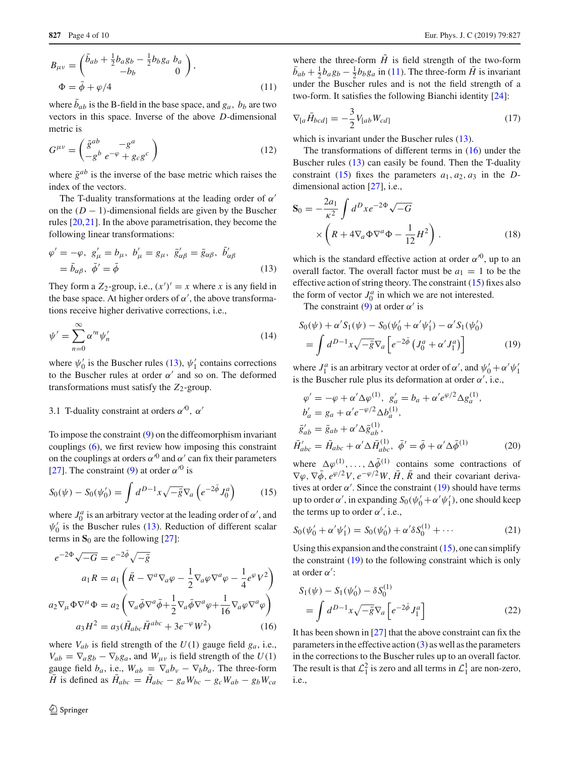$$
B_{\mu\nu} = \begin{pmatrix} \bar{b}_{ab} + \frac{1}{2}b_{a}g_{b} - \frac{1}{2}b_{b}g_{a} & b_{a} \\ -b_{b} & 0 \end{pmatrix},
$$
  
\n
$$
\Phi = \bar{\phi} + \varphi/4
$$
\n(11)

where  $b_{ab}$  is the B-field in the base space, and  $g_a$ ,  $b_b$  are two vectors in this space. Inverse of the above *D*-dimensional metric is

<span id="page-3-7"></span>
$$
G^{\mu\nu} = \begin{pmatrix} \bar{g}^{ab} & -g^a \\ -g^b \ e^{-\varphi} + g_c g^c \end{pmatrix}
$$
 (12)

where  $\bar{g}^{ab}$  is the inverse of the base metric which raises the index of the vectors.

The T-duality transformations at the leading order of  $\alpha'$ on the  $(D - 1)$ -dimensional fields are given by the Buscher rules [\[20](#page-9-7)[,21](#page-9-8)]. In the above parametrisation, they become the following linear transformations:

<span id="page-3-0"></span>
$$
\varphi' = -\varphi, \ g'_{\mu} = b_{\mu}, \ b'_{\mu} = g_{\mu}, \ \bar{g}'_{\alpha\beta} = \bar{g}_{\alpha\beta}, \ \bar{b}'_{\alpha\beta} \n= \bar{b}_{\alpha\beta}, \ \bar{\phi}' = \bar{\phi}
$$
\n(13)

They form a  $Z_2$ -group, i.e.,  $(x')' = x$  where *x* is any field in the base space. At higher orders of  $\alpha'$ , the above transformations receive higher derivative corrections, i.e.,

$$
\psi' = \sum_{n=0}^{\infty} \alpha'^n \psi'_n \tag{14}
$$

where  $\psi'_0$  is the Buscher rules [\(13\)](#page-3-0),  $\psi'_1$  contains corrections to the Buscher rules at order  $\alpha'$  and so on. The deformed transformations must satisfy the  $Z_2$ -group.

# 3.1 T-duality constraint at orders  $\alpha'^0$ ,  $\alpha'$

To impose the constraint [\(9\)](#page-2-1) on the diffeomorphism invariant couplings [\(6\)](#page-1-3), we first review how imposing this constraint on the couplings at orders  $\alpha^{0}$  and  $\alpha'$  can fix their parameters [\[27](#page-9-13)]. The constraint [\(9\)](#page-2-1) at order  $\alpha^{0}$  is

<span id="page-3-2"></span>
$$
S_0(\psi) - S_0(\psi'_0) = \int d^{D-1}x \sqrt{-\bar{g}} \nabla_a \left( e^{-2\bar{\phi}} J_0^a \right) \tag{15}
$$

where  $J_0^a$  is an arbitrary vector at the leading order of  $\alpha'$ , and  $\psi_0'$  is the Buscher rules [\(13\)](#page-3-0). Reduction of different scalar terms in  $S_0$  are the following [\[27\]](#page-9-13):

<span id="page-3-1"></span>
$$
e^{-2\Phi}\sqrt{-G} = e^{-2\bar{\phi}}\sqrt{-\bar{g}}
$$
  
\n
$$
a_1 R = a_1 \left( \bar{R} - \nabla^a \nabla_a \varphi - \frac{1}{2} \nabla_a \varphi \nabla^a \varphi - \frac{1}{4} e^{\varphi} V^2 \right)
$$
  
\n
$$
a_2 \nabla_\mu \Phi \nabla^\mu \Phi = a_2 \left( \nabla_a \bar{\phi} \nabla^a \bar{\phi} + \frac{1}{2} \nabla_a \bar{\phi} \nabla^a \varphi + \frac{1}{16} \nabla_a \varphi \nabla^a \varphi \right)
$$
  
\n
$$
a_3 H^2 = a_3 (\bar{H}_{abc} \bar{H}^{abc} + 3e^{-\varphi} W^2)
$$
\n(16)

where  $V_{ab}$  is field strength of the  $U(1)$  gauge field  $g_a$ , i.e.,  $V_{ab} = \nabla_a g_b - \nabla_b g_a$ , and  $W_{\mu\nu}$  is field strength of the  $U(1)$ gauge field  $b_a$ , i.e.,  $W_{ab} = \nabla_a b_v - \nabla_b b_a$ . The three-form  $\bar{H}$  is defined as  $\bar{H}_{abc} = \tilde{H}_{abc} - g_a W_{bc} - g_c W_{ab} - g_b W_{ca}$ 

where the three-form  $\tilde{H}$  is field strength of the two-form  $\bar{b}_{ab} + \frac{1}{2}b_a g_b - \frac{1}{2}b_b g_a$  in [\(11\)](#page-2-2). The three-form  $\bar{H}$  is invariant under the Buscher rules and is not the field strength of a two-form. It satisfies the following Bianchi identity [\[24\]](#page-9-10):

<span id="page-3-5"></span>
$$
\nabla_{[a}\bar{H}_{bcd]} = -\frac{3}{2}V_{[ab}W_{cd]}
$$
 (17)

which is invariant under the Buscher rules  $(13)$ .

The transformations of different terms in [\(16\)](#page-3-1) under the Buscher rules [\(13\)](#page-3-0) can easily be found. Then the T-duality constraint [\(15\)](#page-3-2) fixes the parameters  $a_1, a_2, a_3$  in the *D*dimensional action [\[27](#page-9-13)], i.e.,

<span id="page-3-8"></span>
$$
\mathbf{S}_0 = -\frac{2a_1}{\kappa^2} \int d^D x e^{-2\Phi} \sqrt{-G}
$$

$$
\times \left( R + 4\nabla_a \Phi \nabla^a \Phi - \frac{1}{12} H^2 \right). \tag{18}
$$

which is the standard effective action at order  $\alpha^{0}$ , up to an overall factor. The overall factor must be  $a_1 = 1$  to be the effective action of string theory. The constraint [\(15\)](#page-3-2) fixes also the form of vector  $J_0^a$  in which we are not interested.

The constraint [\(9\)](#page-2-1) at order  $\alpha'$  is

*H*¯ -

<span id="page-3-3"></span>
$$
S_0(\psi) + \alpha' S_1(\psi) - S_0(\psi'_0 + \alpha' \psi'_1) - \alpha' S_1(\psi'_0)
$$
  
= 
$$
\int d^{D-1}x \sqrt{-\bar{g}} \nabla_a \left[ e^{-2\bar{\phi}} \left( J_0^a + \alpha' J_1^a \right) \right]
$$
 (19)

where  $J_1^a$  is an arbitrary vector at order of  $\alpha'$ , and  $\psi'_0 + \alpha' \psi'_1$ is the Buscher rule plus its deformation at order  $\alpha'$ , i.e.,

<span id="page-3-4"></span>
$$
\varphi' = -\varphi + \alpha' \Delta \varphi^{(1)}, \quad g'_a = b_a + \alpha' e^{\varphi/2} \Delta g_a^{(1)},
$$
  
\n
$$
b'_a = g_a + \alpha' e^{-\varphi/2} \Delta b_a^{(1)},
$$
  
\n
$$
\bar{g}'_{ab} = \bar{g}_{ab} + \alpha' \Delta \bar{g}_{ab}^{(1)},
$$
  
\n
$$
\bar{H}'_{abc} = \bar{H}_{abc} + \alpha' \Delta \bar{H}_{abc}^{(1)}, \quad \bar{\phi}' = \bar{\phi} + \alpha' \Delta \bar{\phi}^{(1)}
$$
 (20)

where  $\Delta \varphi^{(1)}, \ldots, \Delta \bar{\varphi}^{(1)}$  contains some contractions of  $\nabla \varphi$ ,  $\nabla \bar{\varphi}$ ,  $e^{\varphi/2}V$ ,  $e^{-\varphi/2}W$ ,  $\bar{H}$ ,  $\bar{R}$  and their covariant derivatives at order  $\alpha'$ . Since the constraint [\(19\)](#page-3-3) should have terms up to order  $\alpha'$ , in expanding  $S_0(\psi_0' + \alpha' \psi_1')$ , one should keep the terms up to order  $\alpha'$ , i.e.,

$$
S_0(\psi'_0 + \alpha' \psi'_1) = S_0(\psi'_0) + \alpha' \delta S_0^{(1)} + \cdots
$$
 (21)

Using this expansion and the constraint  $(15)$ , one can simplify the constraint [\(19\)](#page-3-3) to the following constraint which is only at order  $\alpha'$ :

<span id="page-3-6"></span>
$$
S_1(\psi) - S_1(\psi'_0) - \delta S_0^{(1)}
$$
  
= 
$$
\int d^{D-1}x \sqrt{-\bar{g}} \nabla_a \left[ e^{-2\bar{\phi}} J_1^a \right]
$$
 (22)

It has been shown in [\[27\]](#page-9-13) that the above constraint can fix the parameters in the effective action  $(3)$  as well as the parameters in the corrections to the Buscher rules up to an overall factor. The result is that  $\mathcal{L}_1^2$  is zero and all terms in  $\mathcal{L}_1^1$  are non-zero, i.e.,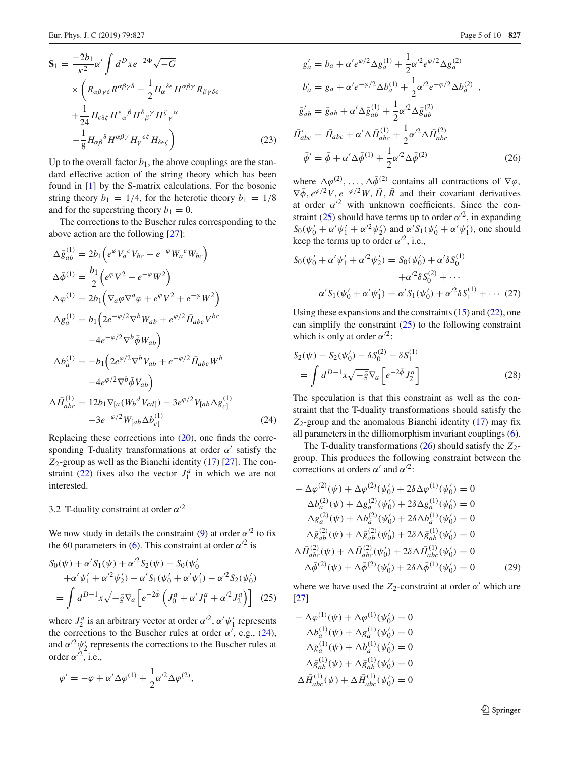<span id="page-4-5"></span>
$$
\mathbf{S}_{1} = \frac{-2b_{1}}{\kappa^{2}} \alpha' \int d^{D}x e^{-2\Phi} \sqrt{-G}
$$
  
 
$$
\times \left( R_{\alpha\beta\gamma\delta} R^{\alpha\beta\gamma\delta} - \frac{1}{2} H_{\alpha}{}^{\delta\epsilon} H^{\alpha\beta\gamma} R_{\beta\gamma\delta\epsilon} + \frac{1}{24} H_{\epsilon\delta\zeta} H^{\epsilon}{}_{\alpha}{}^{\beta} H^{\delta}{}_{\beta}{}^{\gamma} H^{\zeta}{}_{\gamma}{}^{\alpha} - \frac{1}{8} H_{\alpha\beta}{}^{\delta} H^{\alpha\beta\gamma} H_{\gamma}{}^{\epsilon\zeta} H_{\delta\epsilon\zeta} \right)
$$
(23)

Up to the overall factor  $b_1$ , the above couplings are the standard effective action of the string theory which has been found in [\[1](#page-8-0)] by the S-matrix calculations. For the bosonic string theory  $b_1 = 1/4$ , for the heterotic theory  $b_1 = 1/8$ and for the superstring theory  $b_1 = 0$ .

The corrections to the Buscher rules corresponding to the above action are the following [\[27](#page-9-13)]:

<span id="page-4-0"></span>
$$
\Delta \bar{g}_{ab}^{(1)} = 2b_1 \Big( e^{\varphi} V_a{}^c V_{bc} - e^{-\varphi} W_a{}^c W_{bc} \Big)
$$
  
\n
$$
\Delta \bar{\phi}^{(1)} = \frac{b_1}{2} \Big( e^{\varphi} V^2 - e^{-\varphi} W^2 \Big)
$$
  
\n
$$
\Delta \varphi^{(1)} = 2b_1 \Big( \nabla_a \varphi \nabla^a \varphi + e^{\varphi} V^2 + e^{-\varphi} W^2 \Big)
$$
  
\n
$$
\Delta g_a^{(1)} = b_1 \Big( 2e^{-\varphi/2} \nabla^b W_{ab} + e^{\varphi/2} \bar{H}_{abc} V^{bc}
$$
  
\n
$$
-4e^{-\varphi/2} \nabla^b \bar{\phi} W_{ab} \Big)
$$
  
\n
$$
\Delta b_a^{(1)} = -b_1 \Big( 2e^{\varphi/2} \nabla^b V_{ab} + e^{-\varphi/2} \bar{H}_{abc} W^b
$$
  
\n
$$
-4e^{\varphi/2} \nabla^b \bar{\phi} V_{ab} \Big)
$$
  
\n
$$
\Delta \bar{H}_{abc}^{(1)} = 12b_1 \nabla_{[a} (W_b{}^d V_{cd]}) - 3e^{\varphi/2} V_{[ab} \Delta g_{c]}^{(1)}
$$
  
\n
$$
-3e^{-\varphi/2} W_{[ab} \Delta b_{c]}^{(1)}
$$
\n(24)

Replacing these corrections into [\(20\)](#page-3-4), one finds the corresponding T-duality transformations at order  $\alpha'$  satisfy the *Z*2-group as well as the Bianchi identity [\(17\)](#page-3-5) [\[27](#page-9-13)]. The con-straint [\(22\)](#page-3-6) fixes also the vector  $J_1^a$  in which we are not interested.

# 3.2 T-duality constraint at order  $\alpha'^2$

We now study in details the constraint [\(9\)](#page-2-1) at order  $\alpha'^2$  to fix the 60 parameters in [\(6\)](#page-1-3). This constraint at order  $\alpha'^2$  is

<span id="page-4-1"></span>
$$
S_0(\psi) + \alpha' S_1(\psi) + \alpha'^2 S_2(\psi) - S_0(\psi'_0 + \alpha'\psi'_1 + \alpha'^2 \psi'_2) - \alpha' S_1(\psi'_0 + \alpha'\psi'_1) - \alpha'^2 S_2(\psi'_0) = \int d^{D-1}x \sqrt{-\bar{g}} \nabla_a \left[ e^{-2\bar{\phi}} \left( J_0^a + \alpha' J_1^a + \alpha'^2 J_2^a \right) \right] \tag{25}
$$

where  $J_2^a$  is an arbitrary vector at order  $\alpha'^2$ ,  $\alpha' \psi'_1$  represents the corrections to the Buscher rules at order  $\alpha'$ , e.g., [\(24\)](#page-4-0), and  $\alpha'^2 \psi_2'$  represents the corrections to the Buscher rules at order  $\alpha'^2$ , i.e.,

<span id="page-4-2"></span>
$$
\varphi' = -\varphi + \alpha' \Delta \varphi^{(1)} + \frac{1}{2} \alpha'^2 \Delta \varphi^{(2)},
$$

$$
g'_a = b_a + \alpha' e^{\varphi/2} \Delta g_a^{(1)} + \frac{1}{2} \alpha'^2 e^{\varphi/2} \Delta g_a^{(2)}
$$
  
\n
$$
b'_a = g_a + \alpha' e^{-\varphi/2} \Delta b_a^{(1)} + \frac{1}{2} \alpha'^2 e^{-\varphi/2} \Delta b_a^{(2)} ,
$$
  
\n
$$
\bar{g}'_{ab} = \bar{g}_{ab} + \alpha' \Delta \bar{g}_{ab}^{(1)} + \frac{1}{2} \alpha'^2 \Delta \bar{g}_{ab}^{(2)}
$$
  
\n
$$
\bar{H}'_{abc} = \bar{H}_{abc} + \alpha' \Delta \bar{H}_{abc}^{(1)} + \frac{1}{2} \alpha'^2 \Delta \bar{H}_{abc}^{(2)}
$$
  
\n
$$
\bar{\phi}' = \bar{\phi} + \alpha' \Delta \bar{\phi}^{(1)} + \frac{1}{2} \alpha'^2 \Delta \bar{\phi}^{(2)}
$$
\n(26)

where  $\Delta \varphi^{(2)}, \ldots, \Delta \bar{\varphi}^{(2)}$  contains all contractions of  $\nabla \varphi$ ,  $\nabla \bar{\phi}$ ,  $e^{\varphi/2}V$ ,  $e^{-\varphi/2}W$ ,  $\bar{H}$ ,  $\bar{R}$  and their covariant derivatives at order  $\alpha'^2$  with unknown coefficients. Since the con-straint [\(25\)](#page-4-1) should have terms up to order  $\alpha'^2$ , in expanding  $S_0(\psi_0' + \alpha' \psi_1' + \alpha'^2 \psi_2')$  and  $\alpha' S_1(\psi_0' + \alpha' \psi_1')$ , one should keep the terms up to order  $\alpha'^2$ , i.e.,

$$
S_0(\psi'_0 + \alpha' \psi'_1 + \alpha'^2 \psi'_2) = S_0(\psi'_0) + \alpha' \delta S_0^{(1)}
$$
  
+  $\alpha'^2 \delta S_0^{(2)} + \cdots$   
 $\alpha' S_1(\psi'_0 + \alpha' \psi'_1) = \alpha' S_1(\psi'_0) + \alpha'^2 \delta S_1^{(1)} + \cdots$  (27)

Using these expansions and the constraints  $(15)$  and  $(22)$ , one can simplify the constraint [\(25\)](#page-4-1) to the following constraint which is only at order  $\alpha'^2$ :

<span id="page-4-4"></span>
$$
S_2(\psi) - S_2(\psi'_0) - \delta S_0^{(2)} - \delta S_1^{(1)}
$$
  
= 
$$
\int d^{D-1}x \sqrt{-\bar{g}} \nabla_a \left[ e^{-2\bar{\phi}} J_2^a \right]
$$
 (28)

The speculation is that this constraint as well as the constraint that the T-duality transformations should satisfy the  $Z_2$ -group and the anomalous Bianchi identity  $(17)$  may fix all parameters in the diffiomorphism invariant couplings [\(6\)](#page-1-3).

The T-duality transformations  $(26)$  should satisfy the  $Z_2$ group. This produces the following constraint between the corrections at orders  $\alpha'$  and  $\alpha'^2$ :

<span id="page-4-3"></span>
$$
-\Delta \varphi^{(2)}(\psi) + \Delta \varphi^{(2)}(\psi'_0) + 2\delta \Delta \varphi^{(1)}(\psi'_0) = 0
$$
  
\n
$$
\Delta b_a^{(2)}(\psi) + \Delta g_a^{(2)}(\psi'_0) + 2\delta \Delta g_a^{(1)}(\psi'_0) = 0
$$
  
\n
$$
\Delta g_a^{(2)}(\psi) + \Delta b_a^{(2)}(\psi'_0) + 2\delta \Delta b_a^{(1)}(\psi'_0) = 0
$$
  
\n
$$
\Delta \bar{g}_{ab}^{(2)}(\psi) + \Delta \bar{g}_{ab}^{(2)}(\psi'_0) + 2\delta \Delta \bar{g}_{ab}^{(1)}(\psi'_0) = 0
$$
  
\n
$$
\Delta \bar{H}_{abc}^{(2)}(\psi) + \Delta \bar{H}_{abc}^{(2)}(\psi'_0) + 2\delta \Delta \bar{H}_{abc}^{(1)}(\psi'_0) = 0
$$
  
\n
$$
\Delta \bar{\phi}^{(2)}(\psi) + \Delta \bar{\phi}^{(2)}(\psi'_0) + 2\delta \Delta \bar{\phi}^{(1)}(\psi'_0) = 0
$$
\n(29)

where we have used the  $Z_2$ -constraint at order  $\alpha'$  which are [\[27](#page-9-13)]

$$
-\Delta \varphi^{(1)}(\psi) + \Delta \varphi^{(1)}(\psi'_0) = 0
$$
  
\n
$$
\Delta b_a^{(1)}(\psi) + \Delta g_a^{(1)}(\psi'_0) = 0
$$
  
\n
$$
\Delta g_a^{(1)}(\psi) + \Delta b_a^{(1)}(\psi'_0) = 0
$$
  
\n
$$
\Delta \bar{g}_{ab}^{(1)}(\psi) + \Delta \bar{g}_{ab}^{(1)}(\psi'_0) = 0
$$
  
\n
$$
\Delta \bar{H}_{abc}^{(1)}(\psi) + \Delta \bar{H}_{abc}^{(1)}(\psi'_0) = 0
$$

<sup>2</sup> Springer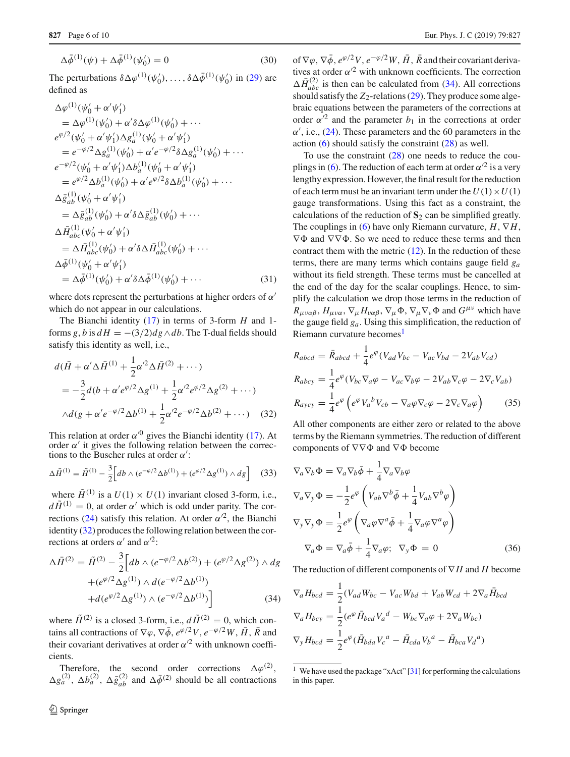$$
\Delta \bar{\phi}^{(1)}(\psi) + \Delta \bar{\phi}^{(1)}(\psi'_0) = 0 \tag{30}
$$

The perturbations  $\delta \Delta \varphi^{(1)}(\psi'_0), \ldots, \delta \Delta \bar{\varphi}^{(1)}(\psi'_0)$  in [\(29\)](#page-4-3) are defined as

$$
\Delta \varphi^{(1)}(\psi_0' + \alpha' \psi_1')
$$
  
\n
$$
= \Delta \varphi^{(1)}(\psi_0' + \alpha' \delta \Delta \varphi^{(1)}(\psi_0') + \cdots
$$
  
\n
$$
e^{\varphi/2}(\psi_0' + \alpha' \psi_1') \Delta g_a^{(1)}(\psi_0' + \alpha' \psi_1')
$$
  
\n
$$
= e^{-\varphi/2} \Delta g_a^{(1)}(\psi_0') + \alpha' e^{-\varphi/2} \delta \Delta g_a^{(1)}(\psi_0') + \cdots
$$
  
\n
$$
e^{-\varphi/2} (\psi_0' + \alpha' \psi_1') \Delta b_a^{(1)}(\psi_0' + \alpha' \psi_1')
$$
  
\n
$$
= e^{\varphi/2} \Delta b_a^{(1)}(\psi_0') + \alpha' e^{\varphi/2} \delta \Delta b_a^{(1)}(\psi_0') + \cdots
$$
  
\n
$$
\Delta \bar{g}_{ab}^{(1)}(\psi_0' + \alpha' \psi_1')
$$
  
\n
$$
= \Delta \bar{g}_{ab}^{(1)}(\psi_0') + \alpha' \delta \Delta \bar{g}_{ab}^{(1)}(\psi_0') + \cdots
$$
  
\n
$$
\Delta \bar{H}_{abc}^{(1)}(\psi_0' + \alpha' \psi_1')
$$
  
\n
$$
= \Delta \bar{H}_{abc}^{(1)}(\psi_0') + \alpha' \delta \Delta \bar{H}_{abc}^{(1)}(\psi_0') + \cdots
$$
  
\n
$$
\Delta \bar{\phi}^{(1)}(\psi_0' + \alpha' \psi_1')
$$
  
\n
$$
= \Delta \bar{\phi}^{(1)}(\psi_0') + \alpha' \delta \Delta \bar{\phi}^{(1)}(\psi_0') + \cdots
$$
  
\n(31)

where dots represent the perturbations at higher orders of  $\alpha'$ which do not appear in our calculations.

The Bianchi identity [\(17\)](#page-3-5) in terms of 3-form *H* and 1 forms *g*, *b* is  $dH = -(3/2)dg \wedge db$ . The T-dual fields should satisfy this identity as well, i.e.,

<span id="page-5-0"></span>
$$
d(\bar{H} + \alpha' \Delta \bar{H}^{(1)} + \frac{1}{2} \alpha'^2 \Delta \bar{H}^{(2)} + \cdots)
$$
  
=  $-\frac{3}{2} d(b + \alpha' e^{\varphi/2} \Delta g^{(1)} + \frac{1}{2} \alpha'^2 e^{\varphi/2} \Delta g^{(2)} + \cdots)$   
 $\wedge d(g + \alpha' e^{-\varphi/2} \Delta b^{(1)} + \frac{1}{2} \alpha'^2 e^{-\varphi/2} \Delta b^{(2)} + \cdots)$  (32)

This relation at order  $\alpha^{0}$  gives the Bianchi identity [\(17\)](#page-3-5). At order  $\alpha'$  it gives the following relation between the corrections to the Buscher rules at order  $\alpha'$ :

$$
\Delta \bar{H}^{(1)} = \tilde{H}^{(1)} - \frac{3}{2} \Big[ db \wedge (e^{-\varphi/2} \Delta b^{(1)}) + (e^{\varphi/2} \Delta g^{(1)}) \wedge dg \Big] \tag{33}
$$

where  $\tilde{H}^{(1)}$  is a  $U(1) \times U(1)$  invariant closed 3-form, i.e.,  $d\tilde{H}^{(1)} = 0$ , at order  $\alpha'$  which is odd under parity. The cor-rections [\(24\)](#page-4-0) satisfy this relation. At order  $\alpha'^2$ , the Bianchi identity [\(32\)](#page-5-0) produces the following relation between the corrections at orders  $\alpha'$  and  $\alpha'^2$ :

<span id="page-5-1"></span>
$$
\Delta \bar{H}^{(2)} = \tilde{H}^{(2)} - \frac{3}{2} \Big[ db \wedge (e^{-\varphi/2} \Delta b^{(2)}) + (e^{\varphi/2} \Delta g^{(2)}) \wedge dg + (e^{\varphi/2} \Delta g^{(1)}) \wedge d(e^{-\varphi/2} \Delta b^{(1)}) + d(e^{\varphi/2} \Delta g^{(1)}) \wedge (e^{-\varphi/2} \Delta b^{(1)}) \Big]
$$
(34)

where  $\tilde{H}^{(2)}$  is a closed 3-form, i.e.,  $d\tilde{H}^{(2)} = 0$ , which contains all contractions of  $\nabla \varphi$ ,  $\nabla \overline{\phi}$ ,  $e^{\varphi/2}V$ ,  $e^{-\varphi/2}W$ ,  $\overline{H}$ ,  $\overline{R}$  and their covariant derivatives at order  $\alpha'^2$  with unknown coefficients.

Therefore, the second order corrections  $\Delta \varphi^{(2)}$ ,  $\Delta g_a^{(2)}$ ,  $\Delta b_a^{(2)}$ ,  $\Delta \bar{g}_{ab}^{(2)}$  and  $\Delta \bar{\phi}^{(2)}$  should be all contractions of  $\nabla \varphi$ ,  $\nabla \bar{\varphi}$ ,  $e^{\varphi/2}V$ ,  $e^{-\varphi/2}W$ ,  $\bar{H}$ ,  $\bar{R}$  and their covariant derivatives at order  $\alpha'^2$  with unknown coefficients. The correction  $\Delta \bar{H}_{abc}^{(2)}$  is then can be calculated from [\(34\)](#page-5-1). All corrections should satisfy the  $Z_2$ -relations [\(29\)](#page-4-3). They produce some algebraic equations between the parameters of the corrections at order  $\alpha'^2$  and the parameter  $b_1$  in the corrections at order  $\alpha'$ , i.e., [\(24\)](#page-4-0). These parameters and the 60 parameters in the action [\(6\)](#page-1-3) should satisfy the constraint [\(28\)](#page-4-4) as well.

To use the constraint  $(28)$  one needs to reduce the cou-plings in [\(6\)](#page-1-3). The reduction of each term at order  $\alpha'^2$  is a very lengthy expression. However, the final result for the reduction of each term must be an invariant term under the  $U(1) \times U(1)$ gauge transformations. Using this fact as a constraint, the calculations of the reduction of  $S_2$  can be simplified greatly. The couplings in [\(6\)](#page-1-3) have only Riemann curvature,  $H, \nabla H$ ,  $\nabla \Phi$  and  $\nabla \nabla \Phi$ . So we need to reduce these terms and then contract them with the metric  $(12)$ . In the reduction of these terms, there are many terms which contains gauge field *ga* without its field strength. These terms must be cancelled at the end of the day for the scalar couplings. Hence, to simplify the calculation we drop those terms in the reduction of  $R_{\mu\nu\alpha\beta}$ ,  $H_{\mu\nu\alpha}$ ,  $\nabla_{\mu}H_{\nu\alpha\beta}$ ,  $\nabla_{\mu}\Phi$ ,  $\nabla_{\mu}\nabla_{\nu}\Phi$  and  $G^{\mu\nu}$  which have the gauge field *ga*. Using this simplification, the reduction of Riemann curvature becomes<sup>1</sup>

<span id="page-5-3"></span>
$$
R_{abcd} = \bar{R}_{abcd} + \frac{1}{4}e^{\varphi}(V_{ad}V_{bc} - V_{ac}V_{bd} - 2V_{ab}V_{cd})
$$
  
\n
$$
R_{abcy} = \frac{1}{4}e^{\varphi}(V_{bc}\nabla_a\varphi - V_{ac}\nabla_b\varphi - 2V_{ab}\nabla_c\varphi - 2\nabla_cV_{ab})
$$
  
\n
$$
R_{aycy} = \frac{1}{4}e^{\varphi}\left(e^{\varphi}V_a{}^bV_{cb} - \nabla_a\varphi\nabla_c\varphi - 2\nabla_c\nabla_a\varphi\right)
$$
(35)

All other components are either zero or related to the above terms by the Riemann symmetries. The reduction of different components of  $\nabla \nabla \Phi$  and  $\nabla \Phi$  become

<span id="page-5-4"></span>
$$
\nabla_a \nabla_b \Phi = \nabla_a \nabla_b \bar{\phi} + \frac{1}{4} \nabla_a \nabla_b \varphi
$$
  
\n
$$
\nabla_a \nabla_y \Phi = -\frac{1}{2} e^{\varphi} \left( V_{ab} \nabla^b \bar{\phi} + \frac{1}{4} V_{ab} \nabla^b \varphi \right)
$$
  
\n
$$
\nabla_y \nabla_y \Phi = \frac{1}{2} e^{\varphi} \left( \nabla_a \varphi \nabla^a \bar{\phi} + \frac{1}{4} \nabla_a \varphi \nabla^a \varphi \right)
$$
  
\n
$$
\nabla_a \Phi = \nabla_a \bar{\phi} + \frac{1}{4} \nabla_a \varphi; \quad \nabla_y \Phi = 0
$$
\n(36)

The reduction of different components of ∇ *H* and *H* become

<span id="page-5-5"></span>
$$
\nabla_a H_{bcd} = \frac{1}{2} (V_{ad} W_{bc} - V_{ac} W_{bd} + V_{ab} W_{cd} + 2 \nabla_a \bar{H}_{bcd}
$$
  

$$
\nabla_a H_{bcy} = \frac{1}{2} (e^{\varphi} \bar{H}_{bcd} V_a{}^d - W_{bc} \nabla_a \varphi + 2 \nabla_a W_{bc})
$$
  

$$
\nabla_y H_{bcd} = \frac{1}{2} e^{\varphi} (\bar{H}_{bda} V_c{}^a - \bar{H}_{cda} V_b{}^a - \bar{H}_{bca} V_d{}^a)
$$

<span id="page-5-2"></span><sup>&</sup>lt;sup>1</sup> We have used the package "xAct"  $\lceil 31 \rceil$  for performing the calculations in this paper.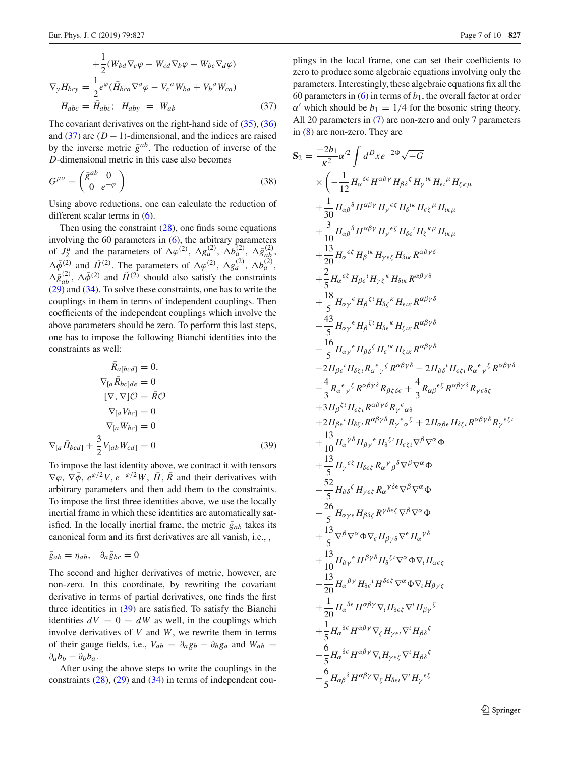$$
+\frac{1}{2}(W_{bd}\nabla_c\varphi - W_{cd}\nabla_b\varphi - W_{bc}\nabla_d\varphi)
$$
  

$$
\nabla_y H_{bcy} = \frac{1}{2}e^{\varphi}(\bar{H}_{bca}\nabla^a\varphi - V_c{}^aW_{ba} + V_b{}^aW_{ca})
$$
  

$$
H_{abc} = \bar{H}_{abc}; \quad H_{aby} = W_{ab}
$$
 (37)

The covariant derivatives on the right-hand side of  $(35)$ ,  $(36)$ and  $(37)$  are  $(D - 1)$ -dimensional, and the indices are raised by the inverse metric  $\bar{g}^{ab}$ . The reduction of inverse of the *D*-dimensional metric in this case also becomes

$$
G^{\mu\nu} = \begin{pmatrix} \bar{g}^{ab} & 0\\ 0 & e^{-\varphi} \end{pmatrix} \tag{38}
$$

Using above reductions, one can calculate the reduction of different scalar terms in [\(6\)](#page-1-3).

Then using the constraint  $(28)$ , one finds some equations involving the 60 parameters in [\(6\)](#page-1-3), the arbitrary parameters of  $J_2^a$  and the parameters of  $\Delta \varphi^{(2)}$ ,  $\Delta g_a^{(2)}$ ,  $\Delta b_a^{(2)}$ ,  $\Delta \bar{g}_{ab}^{(2)}$ ,  $\Delta \bar{\phi}^{(2)}$  and  $\tilde{H}^{(2)}$ . The parameters of  $\Delta \varphi^{(2)}$ ,  $\Delta g_a^{(2)}$ ,  $\Delta b_a^{(2)}$ ,  $\Delta \bar{g}_{ab}^{(2)}$ ,  $\Delta \bar{\phi}^{(2)}$  and  $\tilde{H}^{(2)}$  should also satisfy the constraints [\(29\)](#page-4-3) and [\(34\)](#page-5-1). To solve these constraints, one has to write the couplings in them in terms of independent couplings. Then coefficients of the independent couplings which involve the above parameters should be zero. To perform this last steps, one has to impose the following Bianchi identities into the constraints as well:

<span id="page-6-1"></span>
$$
R_{a[bcd]} = 0,
$$
  
\n
$$
\nabla_{[a} \overline{R}_{bc]de} = 0
$$
  
\n
$$
[\nabla, \nabla] \mathcal{O} = \overline{R} \mathcal{O}
$$
  
\n
$$
\nabla_{[a} V_{bc]} = 0
$$
  
\n
$$
\nabla_{[a} W_{bc]} = 0
$$
  
\n
$$
\nabla_{[a} \overline{H}_{bcd]} + \frac{3}{2} V_{[ab} W_{cd]} = 0
$$
\n(39)

To impose the last identity above, we contract it with tensors  $\nabla \varphi$ ,  $\nabla \bar{\varphi}$ ,  $e^{\varphi/2}V$ ,  $e^{-\varphi/2}W$ ,  $\bar{H}$ ,  $\bar{R}$  and their derivatives with arbitrary parameters and then add them to the constraints. To impose the first three identities above, we use the locally inertial frame in which these identities are automatically satisfied. In the locally inertial frame, the metric  $\bar{g}_{ab}$  takes its canonical form and its first derivatives are all vanish, i.e., ,

$$
\bar{g}_{ab} = \eta_{ab}, \quad \partial_a \bar{g}_{bc} = 0
$$

The second and higher derivatives of metric, however, are non-zero. In this coordinate, by rewriting the covariant derivative in terms of partial derivatives, one finds the first three identities in [\(39\)](#page-6-1) are satisfied. To satisfy the Bianchi identities  $dV = 0 = dW$  as well, in the couplings which involve derivatives of *V* and *W*, we rewrite them in terms of their gauge fields, i.e.,  $V_{ab} = \partial_a g_b - \partial_b g_a$  and  $W_{ab} =$  $\partial_a b_b - \partial_b b_a.$ 

After using the above steps to write the couplings in the constraints  $(28)$ ,  $(29)$  and  $(34)$  in terms of independent couplings in the local frame, one can set their coefficients to zero to produce some algebraic equations involving only the parameters. Interestingly, these algebraic equations fix all the 60 parameters in  $(6)$  in terms of  $b<sub>1</sub>$ , the overall factor at order  $\alpha'$  which should be  $b_1 = 1/4$  for the bosonic string theory. All 20 parameters in [\(7\)](#page-1-4) are non-zero and only 7 parameters in [\(8\)](#page-1-5) are non-zero. They are

<span id="page-6-0"></span> $S<sub>2</sub>$ 

$$
=\frac{-2b_1}{\kappa^2}\alpha'^2 \int d^D x e^{-2\Phi} \sqrt{-G}
$$
  
\n
$$
\times \left(-\frac{1}{12}H_{\alpha}^{\delta\epsilon}H^{\alpha\beta\gamma}H_{\beta\delta}^{\kappa}H_{\gamma}^{W}H_{\epsilon\iota}^{\mu}H_{\zeta\kappa\mu}
$$
  
\n
$$
+\frac{1}{30}H_{\alpha\beta}^{\delta}H^{\alpha\beta\gamma}H_{\gamma}\epsilon^{\epsilon}H_{\delta}^{W}H_{\epsilon\zeta}^{\mu}H_{\iota\kappa\mu}
$$
  
\n
$$
+\frac{3}{10}H_{\alpha\beta}^{\delta}H^{\alpha\beta\gamma}H_{\gamma}\epsilon^{\epsilon}H_{\delta\epsilon}^{\kappa}H_{\zeta}^{\kappa\mu}H_{\iota\kappa\mu}
$$
  
\n
$$
+\frac{13}{20}H_{\alpha}\epsilon^{\epsilon}H_{\beta}^{\kappa}H_{\gamma\epsilon\zeta}H_{\delta\kappa}R^{\alpha\beta\gamma\delta}
$$
  
\n
$$
+\frac{2}{5}H_{\alpha}\epsilon^{\epsilon}H_{\beta\epsilon}^{\kappa}H_{\gamma\zeta}^{\kappa}H_{\delta\kappa}R^{\alpha\beta\gamma\delta}
$$
  
\n
$$
+\frac{18}{5}H_{\alpha\gamma}^{\epsilon}H_{\beta}^{\epsilon}H_{\delta\zeta}^{\kappa}H_{\epsilon\kappa}R^{\alpha\beta\gamma\delta}
$$
  
\n
$$
-\frac{43}{5}H_{\alpha\gamma}^{\epsilon}H_{\beta}^{\epsilon}H_{\delta\zeta}^{\kappa}H_{\epsilon\kappa}R^{\alpha\beta\gamma\delta}
$$
  
\n
$$
-\frac{16}{5}H_{\alpha\gamma}^{\epsilon}H_{\beta\delta}^{\kappa}H_{\delta\epsilon}^{\kappa}H_{\zeta\kappa}R^{\alpha\beta\gamma\delta}
$$
  
\n
$$
-\frac{16}{5}H_{\alpha\gamma}^{\epsilon}H_{\delta\zeta}^{\kappa}H_{\epsilon}^{\kappa}H_{\zeta\kappa}R^{\alpha\beta\gamma\delta}
$$
  
\n
$$
-\frac{43}{5}R_{\alpha}\epsilon_{\gamma}^{\epsilon}R_{\delta\zeta}^{\k
$$

<sup>2</sup> Springer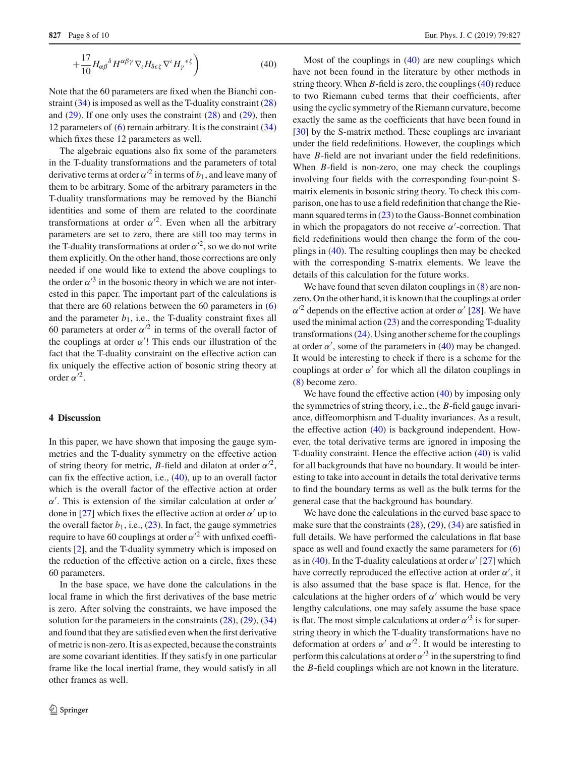$$
+\frac{17}{10}H_{\alpha\beta}{}^{\delta}H^{\alpha\beta\gamma}\nabla_{\iota}H_{\delta\epsilon\zeta}\nabla^{\iota}H_{\gamma}{}^{\epsilon\zeta}\bigg) \tag{40}
$$

Note that the 60 parameters are fixed when the Bianchi constraint [\(34\)](#page-5-1) is imposed as well as the T-duality constraint [\(28\)](#page-4-4) and  $(29)$ . If one only uses the constraint  $(28)$  and  $(29)$ , then 12 parameters of  $(6)$  remain arbitrary. It is the constraint  $(34)$ which fixes these 12 parameters as well.

The algebraic equations also fix some of the parameters in the T-duality transformations and the parameters of total derivative terms at order  $\alpha'^2$  in terms of  $b_1$ , and leave many of them to be arbitrary. Some of the arbitrary parameters in the T-duality transformations may be removed by the Bianchi identities and some of them are related to the coordinate transformations at order  $\alpha'^2$ . Even when all the arbitrary parameters are set to zero, there are still too may terms in the T-duality transformations at order  $\alpha'^2$ , so we do not write them explicitly. On the other hand, those corrections are only needed if one would like to extend the above couplings to the order  $\alpha'^3$  in the bosonic theory in which we are not interested in this paper. The important part of the calculations is that there are 60 relations between the 60 parameters in [\(6\)](#page-1-3) and the parameter  $b_1$ , i.e., the T-duality constraint fixes all 60 parameters at order  $\alpha'^2$  in terms of the overall factor of the couplings at order  $\alpha'$ ! This ends our illustration of the fact that the T-duality constraint on the effective action can fix uniquely the effective action of bosonic string theory at order  $\alpha'^2$ .

## <span id="page-7-0"></span>**4 Discussion**

In this paper, we have shown that imposing the gauge symmetries and the T-duality symmetry on the effective action of string theory for metric, *B*-field and dilaton at order  $\alpha'^2$ , can fix the effective action, i.e., [\(40\)](#page-6-0), up to an overall factor which is the overall factor of the effective action at order  $\alpha'$ . This is extension of the similar calculation at order  $\alpha'$ done in [\[27\]](#page-9-13) which fixes the effective action at order  $\alpha'$  up to the overall factor  $b_1$ , i.e.,  $(23)$ . In fact, the gauge symmetries require to have 60 couplings at order  $\alpha'^2$  with unfixed coefficients [\[2](#page-8-1)], and the T-duality symmetry which is imposed on the reduction of the effective action on a circle, fixes these 60 parameters.

In the base space, we have done the calculations in the local frame in which the first derivatives of the base metric is zero. After solving the constraints, we have imposed the solution for the parameters in the constraints  $(28)$ ,  $(29)$ ,  $(34)$ and found that they are satisfied even when the first derivative of metric is non-zero. It is as expected, because the constraints are some covariant identities. If they satisfy in one particular frame like the local inertial frame, they would satisfy in all other frames as well.

Most of the couplings in  $(40)$  are new couplings which have not been found in the literature by other methods in string theory. When *B*-field is zero, the couplings [\(40\)](#page-6-0) reduce to two Riemann cubed terms that their coefficients, after using the cyclic symmetry of the Riemann curvature, become exactly the same as the coefficients that have been found in [\[30](#page-9-16)] by the S-matrix method. These couplings are invariant under the field redefinitions. However, the couplings which have *B*-field are not invariant under the field redefinitions. When *B*-field is non-zero, one may check the couplings involving four fields with the corresponding four-point Smatrix elements in bosonic string theory. To check this comparison, one has to use a field redefinition that change the Riemann squared terms in  $(23)$  to the Gauss-Bonnet combination in which the propagators do not receive  $\alpha'$ -correction. That field redefinitions would then change the form of the couplings in [\(40\)](#page-6-0). The resulting couplings then may be checked with the corresponding S-matrix elements. We leave the details of this calculation for the future works.

We have found that seven dilaton couplings in  $(8)$  are nonzero. On the other hand, it is known that the couplings at order  $\alpha'^2$  depends on the effective action at order  $\alpha'$  [\[28](#page-9-14)]. We have used the minimal action [\(23\)](#page-4-5) and the corresponding T-duality transformations  $(24)$ . Using another scheme for the couplings at order  $\alpha'$ , some of the parameters in [\(40\)](#page-6-0) may be changed. It would be interesting to check if there is a scheme for the couplings at order  $\alpha'$  for which all the dilaton couplings in [\(8\)](#page-1-5) become zero.

We have found the effective action  $(40)$  by imposing only the symmetries of string theory, i.e., the *B*-field gauge invariance, diffeomorphism and T-duality invariances. As a result, the effective action [\(40\)](#page-6-0) is background independent. However, the total derivative terms are ignored in imposing the T-duality constraint. Hence the effective action [\(40\)](#page-6-0) is valid for all backgrounds that have no boundary. It would be interesting to take into account in details the total derivative terms to find the boundary terms as well as the bulk terms for the general case that the background has boundary.

We have done the calculations in the curved base space to make sure that the constraints  $(28)$ ,  $(29)$ ,  $(34)$  are satisfied in full details. We have performed the calculations in flat base space as well and found exactly the same parameters for [\(6\)](#page-1-3) as in [\(40\)](#page-6-0). In the T-duality calculations at order  $\alpha'$  [\[27\]](#page-9-13) which have correctly reproduced the effective action at order  $\alpha'$ , it is also assumed that the base space is flat. Hence, for the calculations at the higher orders of  $\alpha'$  which would be very lengthy calculations, one may safely assume the base space is flat. The most simple calculations at order  $\alpha'^3$  is for superstring theory in which the T-duality transformations have no deformation at orders  $\alpha'$  and  $\alpha'^2$ . It would be interesting to perform this calculations at order  $\alpha'^3$  in the superstring to find the *B*-field couplings which are not known in the literature.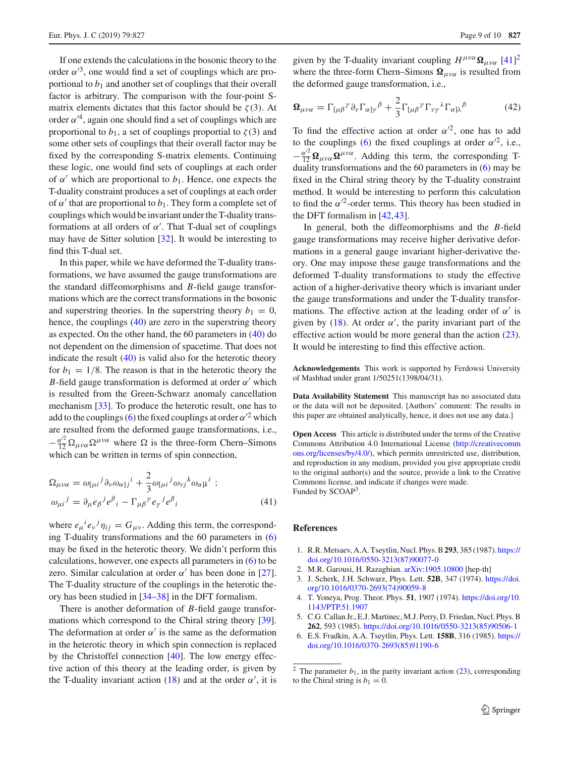If one extends the calculations in the bosonic theory to the order  $\alpha'^3$ , one would find a set of couplings which are proportional to  $b_1$  and another set of couplings that their overall factor is arbitrary. The comparison with the four-point Smatrix elements dictates that this factor should be  $\zeta(3)$ . At order  $\alpha'^4$ , again one should find a set of couplings which are proportional to  $b_1$ , a set of couplings proportial to  $\zeta(3)$  and some other sets of couplings that their overall factor may be fixed by the corresponding S-matrix elements. Continuing these logic, one would find sets of couplings at each order of  $\alpha'$  which are proportional to  $b_1$ . Hence, one expects the T-duality constraint produces a set of couplings at each order of  $\alpha'$  that are proportional to  $b_1$ . They form a complete set of couplings which would be invariant under the T-duality transformations at all orders of  $\alpha'$ . That T-dual set of couplings may have de Sitter solution [\[32](#page-9-18)]. It would be interesting to find this T-dual set.

In this paper, while we have deformed the T-duality transformations, we have assumed the gauge transformations are the standard diffeomorphisms and *B*-field gauge transformations which are the correct transformations in the bosonic and superstring theories. In the superstring theory  $b_1 = 0$ , hence, the couplings [\(40\)](#page-6-0) are zero in the superstring theory as expected. On the other hand, the 60 parameters in [\(40\)](#page-6-0) do not dependent on the dimension of spacetime. That does not indicate the result  $(40)$  is valid also for the heterotic theory for  $b_1 = 1/8$ . The reason is that in the heterotic theory the *B*-field gauge transformation is deformed at order  $\alpha'$  which is resulted from the Green-Schwarz anomaly cancellation mechanism [\[33](#page-9-19)]. To produce the heterotic result, one has to add to the couplings [\(6\)](#page-1-3) the fixed couplings at order  $\alpha'^2$  which are resulted from the deformed gauge transformations, i.e.,  $-\frac{\alpha'^2}{12}\Omega_{\mu\nu\alpha}\Omega^{\mu\nu\alpha}$  where  $\Omega$  is the three-form Chern–Simons which can be written in terms of spin connection,

$$
\Omega_{\mu\nu\alpha} = \omega_{[\mu i}{}^{j} \partial_{\nu} \omega_{\alpha]j}{}^{i} + \frac{2}{3} \omega_{[\mu i}{}^{j} \omega_{\nu j}{}^{k} \omega_{\alpha]k}{}^{i} ;
$$
  
\n
$$
\omega_{\mu i}{}^{j} = \partial_{\mu} e_{\beta}{}^{j} e^{\beta}{}_{i} - \Gamma_{\mu\beta}{}^{\gamma} e_{\gamma}{}^{j} e^{\beta}{}_{i}
$$
\n(41)

where  $e_{\mu}^{\ \ i}e_{\nu}^{\ \ j}\eta_{ij} = G_{\mu\nu}$ . Adding this term, the corresponding T-duality transformations and the 60 parameters in [\(6\)](#page-1-3) may be fixed in the heterotic theory. We didn't perform this calculations, however, one expects all parameters in  $(6)$  to be zero. Similar calculation at order  $\alpha'$  has been done in [\[27](#page-9-13)]. The T-duality structure of the couplings in the heterotic theory has been studied in [\[34](#page-9-20)[–38\]](#page-9-21) in the DFT formalism.

There is another deformation of *B*-field gauge transformations which correspond to the Chiral string theory [\[39](#page-9-22)]. The deformation at order  $\alpha'$  is the same as the deformation in the heterotic theory in which spin connection is replaced by the Christoffel connection [\[40](#page-9-23)]. The low energy effective action of this theory at the leading order, is given by the T-duality invariant action [\(18\)](#page-3-8) and at the order  $\alpha'$ , it is

given by the T-duality invariant coupling  $H^{\mu\nu\alpha} \Omega_{\mu\nu\alpha}$  [\[41\]](#page-9-24)<sup>[2](#page-8-5)</sup> where the three-form Chern–Simons  $\Omega_{\mu\nu\alpha}$  is resulted from the deformed gauge transformation, i.e.,

$$
\mathbf{\Omega}_{\mu\nu\alpha} = \Gamma_{[\mu\beta}{}^{\gamma} \partial_{\nu} \Gamma_{\alpha]\gamma}{}^{\beta} + \frac{2}{3} \Gamma_{[\mu\beta}{}^{\gamma} \Gamma_{\nu\gamma}{}^{\lambda} \Gamma_{\alpha]\lambda}{}^{\beta} \tag{42}
$$

To find the effective action at order  $\alpha'^2$ , one has to add to the couplings [\(6\)](#page-1-3) the fixed couplings at order  $\alpha'^2$ , i.e.,  $-\frac{\alpha^2}{12}\Omega_{\mu\nu\alpha}\Omega^{\mu\nu\alpha}$ . Adding this term, the corresponding Tduality transformations and the 60 parameters in [\(6\)](#page-1-3) may be fixed in the Chiral string theory by the T-duality constraint method. It would be interesting to perform this calculation to find the  $\alpha'^2$ -order terms. This theory has been studied in the DFT formalism in [\[42](#page-9-25)[,43](#page-9-26)].

In general, both the diffeomorphisms and the *B*-field gauge transformations may receive higher derivative deformations in a general gauge invariant higher-derivative theory. One may impose these gauge transformations and the deformed T-duality transformations to study the effective action of a higher-derivative theory which is invariant under the gauge transformations and under the T-duality transformations. The effective action at the leading order of  $\alpha'$  is given by [\(18\)](#page-3-8). At order  $\alpha'$ , the parity invariant part of the effective action would be more general than the action  $(23)$ . It would be interesting to find this effective action.

**Acknowledgements** This work is supported by Ferdowsi University of Mashhad under grant 1/50251(1398/04/31).

**Data Availability Statement** This manuscript has no associated data or the data will not be deposited. [Authors' comment: The results in this paper are obtained analytically, hence, it does not use any data.]

**Open Access** This article is distributed under the terms of the Creative Commons Attribution 4.0 International License [\(http://creativecomm](http://creativecommons.org/licenses/by/4.0/) [ons.org/licenses/by/4.0/\)](http://creativecommons.org/licenses/by/4.0/), which permits unrestricted use, distribution, and reproduction in any medium, provided you give appropriate credit to the original author(s) and the source, provide a link to the Creative Commons license, and indicate if changes were made. Funded by SCOAP<sup>3</sup>.

### **References**

- <span id="page-8-0"></span>1. R.R. Metsaev, A.A. Tseytlin, Nucl. Phys. B**293**, 385 (1987). [https://](https://doi.org/10.1016/0550-3213(87)90077-0) [doi.org/10.1016/0550-3213\(87\)90077-0](https://doi.org/10.1016/0550-3213(87)90077-0)
- <span id="page-8-1"></span>2. M.R. Garousi, H. Razaghian. [arXiv:1905.10800](http://arxiv.org/abs/1905.10800) [hep-th]
- <span id="page-8-2"></span>3. J. Scherk, J.H. Schwarz, Phys. Lett. **52B**, 347 (1974). [https://doi.](https://doi.org/10.1016/0370-2693(74)90059-8) [org/10.1016/0370-2693\(74\)90059-8](https://doi.org/10.1016/0370-2693(74)90059-8)
- <span id="page-8-3"></span>4. T. Yoneya, Prog. Theor. Phys. **51**, 1907 (1974). [https://doi.org/10.](https://doi.org/10.1143/PTP.51.1907) [1143/PTP.51.1907](https://doi.org/10.1143/PTP.51.1907)
- <span id="page-8-4"></span>5. C.G. Callan Jr., E.J. Martinec, M.J. Perry, D. Friedan, Nucl. Phys. B **262**, 593 (1985). [https://doi.org/10.1016/0550-3213\(85\)90506-1](https://doi.org/10.1016/0550-3213(85)90506-1)
- 6. E.S. Fradkin, A.A. Tseytlin, Phys. Lett. **158B**, 316 (1985). [https://](https://doi.org/10.1016/0370-2693(85)91190-6) [doi.org/10.1016/0370-2693\(85\)91190-6](https://doi.org/10.1016/0370-2693(85)91190-6)

<span id="page-8-5"></span><sup>&</sup>lt;sup>2</sup> The parameter  $b_1$ , in the parity invariant action [\(23\)](#page-4-5), corresponding to the Chiral string is  $b_1 = 0$ .